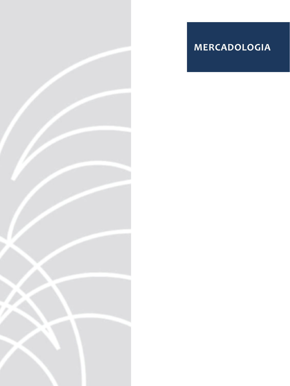

# **MERCADOLOGIA**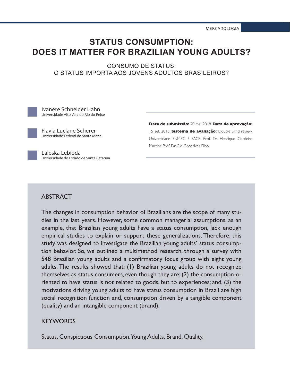MERCADOLOGIA

# **STATUS CONSUMPTION: DOES IT MATTER FOR BRAZILIAN YOUNG ADULTS?**

CONSUMO DE STATUS: O STATUS IMPORTA AOS JOVENS ADULTOS BRASILEIROS?

Ivanete Schneider Hahn Universidade Alto Vale do Rio do Peixe

Flavia Luciane Scherer Universidade Federal de Santa Maria **Data de submissão:** 20 mai. 2018. **Data de aprovação:**  15 set. 2018. **Sistema de avaliação:** Double blind review. Universidade FUMEC / FACE. Prof. Dr. Henrique Cordeiro Martins. Prof. Dr. Cid Gonçalves Filho.

Laleska Lebioda Universidade do Estado de Santa Catarina

### ABSTRACT

The changes in consumption behavior of Brazilians are the scope of many studies in the last years. However, some common managerial assumptions, as an example, that Brazilian young adults have a status consumption, lack enough empirical studies to explain or support these generalizations. Therefore, this study was designed to investigate the Brazilian young adults' status consumption behavior. So, we outlined a multimethod research, through a survey with 548 Brazilian young adults and a confirmatory focus group with eight young adults. The results showed that: (1) Brazilian young adults do not recognize themselves as status consumers, even though they are; (2) the consumption-oriented to have status is not related to goods, but to experiences; and, (3) the motivations driving young adults to have status consumption in Brazil are high social recognition function and, consumption driven by a tangible component (quality) and an intangible component (brand).

### **KEYWORDS**

Status. Conspicuous Consumption. Young Adults. Brand. Quality.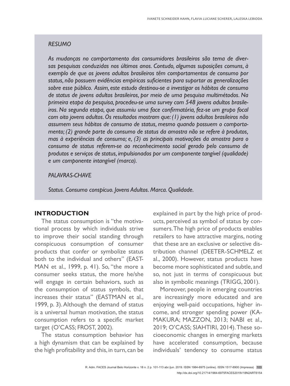#### *RESUMO*

*As mudanças no comportamento dos consumidores brasileiros são tema de diversas pesquisas conduzidas nos últimos anos. Contudo, algumas suposições comuns, à exemplo de que os jovens adultos brasileiros têm comportamentos de consumo por status, não possuem evidências empíricas suficientes para suportar as generalizações sobre esse público. Assim, este estudo destinou-se a investigar os hábitos de consumo de status de jovens adultos brasileiros, por meio de uma pesquisa multimétodos. Na primeira etapa da pesquisa, procedeu-se uma survey com 548 jovens adultos brasileiros. Na segunda etapa, que assumiu uma face confirmatória, fez-se um grupo focal com oito jovens adultos. Os resultados mostram que: (1) jovens adultos brasileiros não assumem seus hábitos de consumo de status, mesmo quando possuem o comportamento; (2) grande parte do consumo de status da amostra não se refere à produtos, mas à experiências de consumo; e, (3) as principais motivações da amostra para o consumo de status referem-se ao reconhecimento social gerado pelo consumo de produtos e serviços de status, impulsionados por um componente tangível (qualidade) e um componente intangível (marca).* 

#### *PALAVRAS-CHAVE*

*Status. Consumo conspícuo. Jovens Adultos. Marca. Qualidade.*

#### **INTRODUCTION**

The status consumption is "the motivational process by which individuals strive to improve their social standing through conspicuous consumption of consumer products that confer or symbolize status both to the individual and others" (EAST-MAN et al., 1999, p. 41). So, "the more a consumer seeks status, the more he/she will engage in certain behaviors, such as the consumption of status symbols, that increases their status" (EASTMAN et al., 1999, p. 3). Although the demand of status is a universal human motivation, the status consumption refers to a specific market target (O'CASS; FROST, 2002).

The status consumption behavior has a high dynamism that can be explained by the high profitability and this, in turn, can be explained in part by the high price of products, perceived as symbol of status by consumers. The high price of products enables retailers to have attractive margins, noting that these are an exclusive or selective distribution channel (DEETER-SCHMELZ et al., 2000). However, status products have become more sophisticated and subtle, and so, not just in terms of conspicuous but also in symbolic meanings (TRIGG, 2001).

Moreover, people in emerging countries are increasingly more educated and are enjoying well-paid occupations, higher income, and stronger spending power (KA-MAKURA; MAZZON, 2013; NABI et al., 2019; O'CASS; SIAHTIRI, 2014). These socioeconomic changes in emerging markets have accelerated consumption, because individuals' tendency to consume status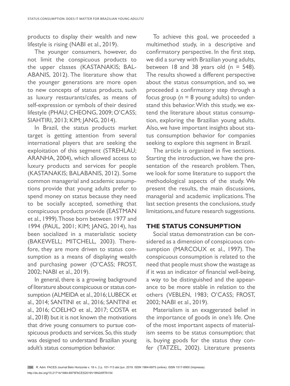products to display their wealth and new lifestyle is rising (NABI et al., 2019).

The younger consumers, however, do not limit the conspicuous products to the upper classes (KASTANAKIS; BAL-ABANIS, 2012). The literature show that the younger generations are more open to new concepts of status products, such as luxury restaurants/cafes, as means of self-expression or symbols of their desired lifestyle (PHAU; CHEONG, 2009; O'CASS; SIAHTIRI, 2013; KIM; JANG, 2014).

In Brazil, the status products market target is getting attention from several international players that are seeking the exploitation of this segment (STREHLAU; ARANHA, 2004), which allowed access to luxury products and services for people (KASTANAKIS; BALABANIS, 2012). Some common managerial and academic assumptions provide that young adults prefer to spend money on status because they need to be socially accepted, something that conspicuous products provide (EASTMAN et al., 1999). Those born between 1977 and 1994 (PAUL, 2001; KIM; JANG, 2014), has been socialized in a materialistic society (BAKEWELL; MITCHELL, 2003). Therefore, they are more driven to status consumption as a means of displaying wealth and purchasing power (O'CASS; FROST, 2002; NABI et al., 2019).

In general, there is a growing background of literature about conspicuous or status consumption (ALMEIDA et al., 2016; LUBECK et al., 2014; SANTINI et al., 2016; SANTINI et al., 2016; COELHO et al., 2017; COSTA et al., 2018) but it is not known the motivations that drive young consumers to pursue conspicuous products and services. So, this study was designed to understand Brazilian young adult's status consumption behavior.

To achieve this goal, we proceeded a multimethod study, in a descriptive and confirmatory perspective. In the first step, we did a survey with Brazilian young adults, between 18 and 38 years old ( $n = 548$ ). The results showed a different perspective about the status consumption, and so, we proceeded a confirmatory step through a focus group ( $n = 8$  young adults) to understand this behavior. With this study, we extend the literature about status consumption, exploring the Brazilian young adults. Also, we have important insights about status consumption behavior for companies seeking to explore this segment in Brazil.

The article is organized in five sections. Starting the introduction, we have the presentation of the research problem. Then, we look for some literature to support the methodological aspects of the study. We present the results, the main discussions, managerial and academic implications. The last section presents the conclusions, study limitations, and future research suggestions.

### **THE STATUS CONSUMPTION**

Social status demonstration can be considered as a dimension of conspicuous consumption (MARCOUX et al., 1997). The conspicuous consumption is related to the need that people must show the wastage as if it was an indicator of financial well-being, a way to be distinguished and the appearance to be more stable in relation to the others (VEBLEN, 1983; O'CASS; FROST, 2002; NABI et al., 2019).

Materialism is an exaggerated belief in the importance of goods in one's life. One of the most important aspects of materialism seems to be status consumption; that is, buying goods for the status they confer (TATZEL, 2002). Literature presents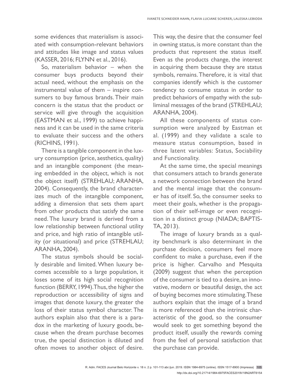some evidences that materialism is associated with consumption-relevant behaviors and attitudes like image and status values (KASSER, 2016; FLYNN et al., 2016).

So, materialism behavior – when the consumer buys products beyond their actual need, without the emphasis on the instrumental value of them – inspire consumers to buy famous brands. Their main concern is the status that the product or service will give through the acquisition (EASTMAN et al., 1999) to achieve happiness and it can be used in the same criteria to evaluate their success and the others (RICHINS, 1991).

There is a tangible component in the luxury consumption (price, aesthetics, quality) and an intangible component (the meaning embedded in the object, which is not the object itself) (STREHLAU; ARANHA, 2004). Consequently, the brand characterizes much of the intangible component, adding a dimension that sets them apart from other products that satisfy the same need. The luxury brand is derived from a low relationship between functional utility and price, and high ratio of intangible utility (or situational) and price (STREHLAU; ARANHA, 2004).

The status symbols should be socially desirable and limited. When luxury becomes accessible to a large population, it loses some of its high social recognition function (BERRY, 1994). Thus, the higher the reproduction or accessibility of signs and images that denote luxury, the greater the loss of their status symbol character. The authors explain also that there is a paradox in the marketing of luxury goods, because when the dream purchase becomes true, the special distinction is diluted and often moves to another object of desire. This way, the desire that the consumer feel in owning status, is more constant than the products that represent the status itself. Even as the products change, the interest in acquiring them because they are status symbols, remains. Therefore, it is vital that companies identify which is the customer tendency to consume status in order to predict behaviors of empathy with the subliminal messages of the brand (STREHLAU; ARANHA, 2004).

All these components of status consumption were analyzed by Eastman et al. (1999) and they validate a scale to measure status consumption, based in three latent variables: Status, Sociability and Functionality.

At the same time, the special meanings that consumers attach to brands generate a network connection between the brand and the mental image that the consumer has of itself. So, the consumer seeks to meet their goals, whether is the propagation of their self-image or even recognition in a distinct group (NIADA; BAPTIS-TA, 2013).

The image of luxury brands as a quality benchmark is also determinant in the purchase decision, consumers feel more confident to make a purchase, even if the price is higher. Carvalho and Mesquita (2009) suggest that when the perception of the consumer is tied to a desire, an innovative, modern or beautiful design, the act of buying becomes more stimulating. These authors explain that the image of a brand is more referenced than the intrinsic characteristic of the good, so the consumer would seek to get something beyond the product itself, usually the rewards coming from the feel of personal satisfaction that the purchase can provide.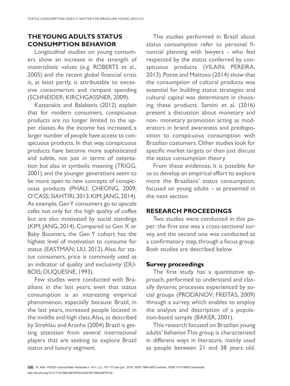## **THE YOUNG ADULTS STATUS CONSUMPTION BEHAVIOR**

Longitudinal studies on young consumers show an increase in the strength of materialistic values (e.g. ROBERTS et al., 2005) and the recent global financial crisis is, at least partly, is attributable to excessive consumerism and rampant spending (SCHNEIDER; KIRCHGASSNER, 2009).

Kastanakis and Balabanis (2012) explain that for modern consumers, conspicuous products are no longer limited to the upper classes. As the income has increased, a larger number of people have access to conspicuous products. In that way, conspicuous products have become more sophisticated and subtle, not just in terms of ostentation but also in symbolic meaning (TRIGG, 2001), and the younger generations seem to be more open to new concepts of conspicuous products (PHAU; CHEONG, 2009; O'CASS; SIAHTIRI, 2013; KIM; JANG, 2014). As example, Gen Y consumers go to upscale cafés not only for the high quality of coffee but are also motivated by social standings (KIM; JANG, 2014). Compared to Gen X or Baby Boomers, the Gen Y cohort has the highest level of motivation to consume for status (EASTMAN; LIU, 2012). Also, for status consumers, price is commonly used as an indicator of quality and exclusivity (DU-BOIS; DUQUESNE, 1993).

Few studies were conducted with Brazilians in the last years, even that status consumption is an interesting empirical phenomenon, especially because Brazil, in the last years, increased people located in the middle and high class. Also, as described by Strehlau and Aranha (2004) Brazil is getting attention from several international players that are seeking to explore Brazil status and luxury segment.

The studies performed in Brazil about status consumption refer to personal financial planning with lawyers - who feel respected by the status conferred by conspicuous products (VILAIN; PEREIRA, 2013). Ponte and Mattoso (2014) show that the consumption of cultural products was essential for building status strategies and cultural capital was determinant in choosing these products. Santini et al. (2016) present a discussion about monetary and non- monetary promotion acting as moderators in brand awareness and predisposition to conspicuous consumption with Brazilian costumers. Other studies look for specific market targets or than just discuss the status consumption theory.

From these evidences, it is possible for us to develop an empirical effort to explore more the Brazilians' status consumption, focused on young adults – as presented in the next section.

### **RESEARCH PROCEEDINGS**

Two studies were conducted in this paper: the first one was a cross-sectional survey, and the second one was conducted as a confirmatory step, through a focus group. Both studies are described below.

#### **Survey proceedings**

The first study has a quantitative approach, performed to understand and classify dynamic processes experienced by social groups (PRODANOV; FREITAS, 2009) through a survey, which enables to employ the analysis and description of a population-based sample (BAKER, 2001).

This research focused on Brazilian young adults' behavior. This group is characterized in different ways in literature, mainly used as people between 21 and 38 years old.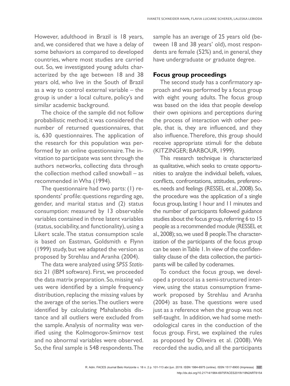However, adulthood in Brazil is 18 years, and, we considered that we have a delay of some behaviors as compared to developed countries, where most studies are carried out. So, we investigated young adults characterized by the age between 18 and 38 years old, who live in the South of Brazil as a way to control external variable – the group is under a local culture, policy's and similar academic background.

The choice of the sample did not follow probabilistic method; it was considered the number of returned questionnaires, that is, 630 questionnaires. The application of the research for this population was performed by an online questionnaire. The invitation to participate was sent through the authors networks, collecting data through the collection method called snowball – as recommended in Wha (1994).

The questionnaire had two parts: (1) respondents' profile: questions regarding age, gender, and marital status and (2) status consumption: measured by 13 observable variables contained in three latent variables (status, sociability, and functionality), using a Likert scale. The status consumption scale is based on Eastman, Goldsmith e Flynn (1999) study, but we adapted the version as proposed by Strehlau and Aranha (2004).

The data were analyzed using *SPSS Statistics* 21 (IBM software). First, we proceeded the data matrix preparation. So, missing values were identified by a simple frequency distribution, replacing the missing values by the average of the series. The outliers were identified by calculating Mahalanobis distance and all outliers were excluded from the sample. Analysis of normality was verified using the Kolmogorov-Smirnov test and no abnormal variables were observed. So, the final sample is 548 respondents. The sample has an average of 25 years old (between 18 and 38 years' old), most respondents are female (52%) and, in general, they have undergraduate or graduate degree.

#### **Focus group proceedings**

The second study has a confirmatory approach and was performed by a focus group with eight young adults. The focus group was based on the idea that people develop their own opinions and perceptions during the process of interaction with other people, that is, they are influenced, and they also influence. Therefore, this group should receive appropriate stimuli for the debate (KITZINGER; BARBOUR, 1999).

This research technique is characterized as qualitative, which seeks to create opportunities to analyze the individual beliefs, values, conflicts, confrontations, attitudes, preferences, needs and feelings (RESSEL et al., 2008). So, the procedure was the application of a single focus group, lasting 1 hour and 11 minutes and the number of participants followed guidance studies about the focus group, referring 6 to 15 people as a recommended module (RESSEL et al., 2008); so, we used 8 people. The characterization of the participants of the focus group can be seen in Table 1. In view of the confidentiality clause of the data collection, the participants will be called by codenames.

To conduct the focus group, we developed a protocol as a semi-structured interview, using the status consumption framework proposed by Strehlau and Aranha (2004) as base. The questions were used just as a reference when the group was not self-taught. In addition, we had some methodological cares in the conduction of the focus group. First, we explained the rules as proposed by Oliveira et al. (2008). We recorded the audio, and all the participants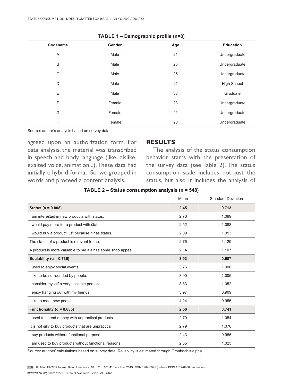|          | ັ      | . .<br>$\cdot$<br>$\mathbf{z}$ |                    |
|----------|--------|--------------------------------|--------------------|
| Codename | Gender | Age                            | <b>Education</b>   |
| A        | Male   | 21                             | Undergraduate      |
| B        | Male   | 23                             | Undergraduate      |
| C        | Male   | 25                             | Undergraduate      |
| D        | Male   | 21                             | <b>High School</b> |
| E        | Male   | 33                             | Graduate           |
| F        | Female | 23                             | Undergraduate      |
| G        | Female | 21                             | Undergraduate      |
| H        | Female | 20                             | Undergraduate      |
|          |        |                                |                    |

| TABLE 1 - Demographic profile (n=8) |  |  |
|-------------------------------------|--|--|
|-------------------------------------|--|--|

Source: author's analysis based on survey data.

agreed upon an authorization form. For data analysis, the material was transcribed in speech and body language (like, dislike, exalted voice, animation...). These data had initially a hybrid format. So, we grouped in words and proceed a content analysis.

#### **RESULTS**

The analysis of the status consumption behavior starts with the presentation of the survey data (see Table 2). The status consumption scale includes not just the status, but also it includes the analysis of

|                                                              | Mean | <b>Standard Deviation</b> |
|--------------------------------------------------------------|------|---------------------------|
| Status ( $\alpha$ = 0.808)                                   | 2.45 | 0.713                     |
| I am interested in new products with status.                 | 2.76 | 1.099                     |
| I would pay more for a product with status.                  | 2.52 | 1.088                     |
| I would buy a product just because it has status.            | 2.09 | 1.013                     |
| The status of a product is relevant to me.                   | 2.76 | 1.129                     |
| A product is more valuable to me if it has some snob appeal. | 2.14 | 1.107                     |
| Sociability ( $\alpha$ = 0.735)                              | 3.93 | 0.687                     |
| I used to enjoy social events.                               | 3.76 | 1.008                     |
| I like to be surrounded by people.                           | 3.90 | 1.005                     |
| I consider myself a very sociable person.                    | 3.83 | 1.052                     |
| I enjoy hanging out with my friends.                         | 3.97 | 0.909                     |
| I like to meet new people.                                   | 4.24 | 0.955                     |
| Functionality ( $\alpha$ = 0.685)                            | 2.56 | 0.741                     |
| I used to spend money with unpractical products.             | 2.70 | 1.054                     |
| It is not silly to buy products that are unpractical.        | 2.79 | 1.070                     |
| I buy products without functional purpose.                   | 2.43 | 0.986                     |
| I am used to buy products without functional reasons.        | 2.35 | 1.023                     |

Source: authors' calculations based on survey data. Reliability is estimated through Cronbach's alpha.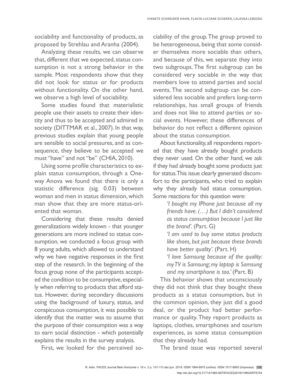sociability and functionality of products, as proposed by Strehlau and Aranha (2004).

Analyzing these results, we can observe that, different that we expected, status consumption is not a strong behavior in the sample. Most respondents show that they did not look for status or for products without functionality. On the other hand, we observe a high level of sociability.

Some studies found that materialistic people use their assets to create their identity and thus to be accepted and admired in society (DITTMAR et al., 2007). In that way, previous studies explain that young people are sensible to social pressures, and as consequence, they believe to be accepted we must "have" and not "be" (CHIA, 2010).

Using some profile characteristics to explain status consumption, through a Oneway Anova we found that there is only a statistic difference (sig. 0.03) between woman and men in status dimension, which man show that they are more status-oriented that woman.

Considering that these results denied generalizations widely known - that younger generations are more inclined to status consumption, we conducted a focus group with 8 young adults, which allowed to understand why we have negative responses in the first step of the research. In the beginning of the focus group none of the participants accepted the condition to be consumptive, especially when referring to products that afford status. However, during secondary discussions using the background of luxury, status, and conspicuous consumption, it was possible to identify that the matter was to assume that the purpose of their consumption was a way to earn social distinction - which potentially explains the results in the survey analysis.

First, we looked for the perceived so-

ciability of the group. The group proved to be heterogeneous, being that some consider themselves more sociable than others, and because of this, we separate they into two subgroups. The first subgroup can be considered very sociable in the way that members love to attend parties and social events. The second subgroup can be considered less sociable and prefers long-term relationships, has small groups of friends and does not like to attend parties or social events. However, these differences of behavior do not reflect a different opinion about the status consumption.

About functionality, all respondents reported that they have already bought products they never used. On the other hand, we ask if they had already bought some products just for status. This issue clearly generated discomfort to the participants, who tried to explain why they already had status consumption. Some reactions for this question were:

> *'I bought my IPhone just because all my friends have. (…) But I didn't considered as status consumption because I just like the brand'.* (Part. G)

> *'I am used to buy some status products like shoes, but just because these brands have better quality'.* (Part. H)

> *'I love Samsung because of the quality: my TV is Samsung; my laptop is Samsung and my smartphone is too.'* (Part. B)

This behavior shows that unconsciously they did not think that they bought these products as a status consumption, but in the common opinion, they just did a good deal, or the product had better performance or quality. They report products as laptops, clothes, smartphones and tourism experiences, as some status consumption that they already had.

The brand issue was reported several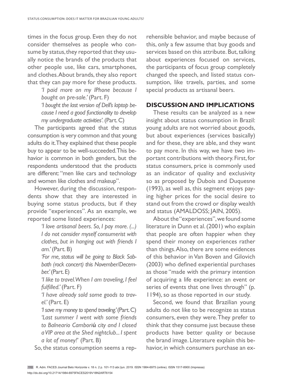times in the focus group. Even they do not consider themselves as people who consume by status, they reported that they usually notice the brands of the products that other people use, like cars, smartphones, and clothes. About brands, they also report that they can pay more for these products.

> *'I paid more on my IPhone because I bought on pre-sale.'* (Part. F) *'I bought the last version of Dell's laptop because I need a good functionality to develop my undergraduate activities'.* (Part. C)

The participants agreed that the status consumption is very common and that young adults do it. They explained that these people buy to appear to be well-succeeded. This behavior is common in both genders, but the respondents understood that the products are different: "men like cars and technology and women like clothes and makeup".

However, during the discussion, respondents show that they are interested in buying some status products, but if they provide "experiences". As an example, we reported some listed experiences:

> *'I love artisanal beers. So, I pay more. (...) I do not consider myself consumerist with clothes, but in hanging out with friends I am.'* (Part. B)

> *'For me, status will be going to Black Sabbath (rock concert) this November/December.'* (Part. E)

> *'I like to travel. When I am traveling, I feel*  fulfilled.' (Part. F)

> *'I have already sold some goods to travel.'* (Part. E)

> *'I save my money to spend traveling.' (Part. C) 'Last summer I went with some friends to Balneario Cambori***ú** *city and I closed a VIP area at the Shed nightclub... I spent a lot of money!*' (Part. B)

So, the status consumption seems a rep-

rehensible behavior, and maybe because of this, only a few assume that buy goods and services based on this attribute. But, talking about experiences focused on services, the participants of focus group completely changed the speech, and listed status consumption, like travels, parties, and some special products as artisanal beers.

#### **DISCUSSION AND IMPLICATIONS**

These results can be analyzed as a new insight about status consumption in Brazil: young adults are not worried about goods, but about experiences (services basically) and for these, they are able, and they want to pay more. In this way, we have two important contributions with theory. First, for status consumers, price is commonly used as an indicator of quality and exclusivity so as proposed by Dubois and Duquesne (1993), as well as, this segment enjoys paying higher prices for the social desire to stand out from the crowd or display wealth and status (AMALDOSS; JAIN, 2005).

About the "experiences", we found some literature in Dunn et al. (2001) who explain that people are often happier when they spend their money on experiences rather than things. Also, there are some evidences of this behavior in Van Boven and Gilovich (2003) who defined experiential purchases as those "made with the primary intention of acquiring a life experience: an event or series of events that one lives through" (p. 1194), so as those reported in our study.

Second, we found that Brazilian young adults do not like to be recognize as status consumers, even they were. They prefer to think that they consume just because these products have better quality or because the brand image. Literature explain this behavior, in which consumers purchase an ex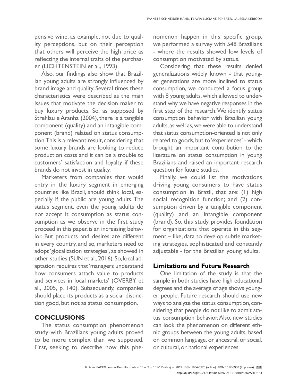pensive wine, as example, not due to quality perceptions, but on their perception that others will perceive the high price as reflecting the internal traits of the purchaser (LICHTENSTEIN et al., 1993).

Also, our findings also show that Brazilian young adults are strongly influenced by brand image and quality. Several times these characteristics were described as the main issues that motivate the decision maker to buy luxury products. So, as supposed by Strehlau e Aranha (2004), there is a tangible component (quality) and an intangible component (brand) related on status consumption. This is a relevant result, considering that some luxury brands are looking to reduce production costs and it can be a trouble to customers' satisfaction and loyalty if these brands do not invest in quality.

Marketers from companies that would entry in the luxury segment in emerging countries like Brazil, should think local, especially if the public are young adults. The status segment, even the young adults do not accept it consumption as status consumption as we observe in the first study proceed in this paper, is an increasing behavior. But products and desires are different in every country, and so, marketers need to adopt 'glocalization strategies', as showed in other studies (SUN et al., 2016). So, local adaptation requires that 'managers understand how consumers attach value to products and services in local markets' (OVERBY et al., 2005, p. 140). Subsequently, companies should place its products as a social distinction good, but not as status consumption.

# **CONCLUSIONS**

The status consumption phenomenon study with Brazilians young adults proved to be more complex than we supposed. First, seeking to describe how this phenomenon happen in this specific group, we performed a survey with 548 Brazilians - where the results showed low levels of consumption motivated by status.

Considering that these results denied generalizations widely known - that younger generations are more inclined to status consumption, we conducted a focus group with 8 young adults, which allowed to understand why we have negative responses in the first step of the research. We identify status consumption behavior with Brazilian young adults, as well as, we were able to understand that status consumption-oriented is not only related to goods, but to 'experiences' - which brought an important contribution to the literature on status consumption in young Brazilians and raised an important research question for future studies.

Finally, we could list the motivations driving young consumers to have status consumption in Brazil, that are: (1) high social recognition function; and (2) consumption driven by a tangible component (quality) and an intangible component (brand). So, this study provides foundation for organizations that operate in this segment – like, data to develop subtle marketing strategies, sophisticated and constantly adjustable - for the Brazilian young adults.

### **Limitations and Future Research**

One limitation of the study is that the sample in both studies have high educational degrees and the average of age shows younger people. Future research should use new ways to analyze the status consumption, considering that people do not like to admit status consumption behavior. Also, new studies can look the phenomenon on different ethnic groups between the young adults, based on common language, or ancestral, or social, or cultural, or national experiences.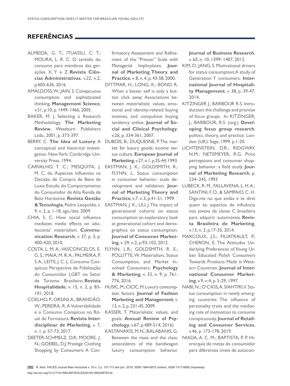# **REFERÊNCIAS**

- ALMEIDA, G. T.; ITUASSU, C. T.; MOURA, L. R. C. O sentido do consumo para membros das gerações X, Y e Z. **Revista Ciências Administrativas**, v.22, n.2, p.605-636, 2016.
- AMALDOSS, W.; JAIN, S. Conspicuous consumption and sophisticated thinking, **Management Science***,* v.51, p.10, p. 1449–1466, 2005.
- BAKER, M. J. Selecting a Research Methodology. **The Marketing Review**, Westburn Publishers Ltda., 2001, p. 373-397.
- BERRY, C. The Idea of Luxury: A DUBOIS, B.; DUQUESNE, P. The marconceptual and historical investigation. New York: Cambridge University Press, 1994.
- M. C. de. Aspectos Influentes na Decisão de Compra de Bens de Luxo: Estudo do Comportamento do Consumidor de Alta Renda de Belo Horizonte. **Revista Gestão**  9, n. 2, p. 1-18, ago./dez. 2009.
- CHIA, S. C. How social influence mediates media effects on adolescents' materialism. **Communication Research**, v. 37, p. 3, p. 400-420, 2010.
- COSTA, L. M. A.; VASCONCELOS, E. FLYNN, L.R.; GOLDSMITH, R. E.; G. S.; MAIA, M. R. A.; PALMEIRA, P. S. A.; LEITE, J. C. L. Consumo Conspícuo: Perspectiva de Fidelização do Consumidor LGBT no Setor de Turismo Brasileiro. **Revista Hospitalidade**, v. 15, n. 2, p. 83- 101, 2018.
- COELHO, P.; ORSINI, A.; BRANDÃO, W.; PEREIRA, R. A Vulnerabilidade ual de Formatura. **Revista Interdisciplinar de Marketing**, v. 7, n. 1, p. 57-73, 2017.
- DEETER-SCHMELZ, D.R; MOORE, J. N.; GOEBEL, D.J. Prestige Clothing Shopping by Consumers: A Con-

firmatory Assessment and Refinement of the "Precon" Scale with **nal of Marketing Theory and Practice**, v. 8, n. 4, p. 43-58, 2000.

- DITTMAR, H.; LONG, K.; BOND, R. When a better self is only a button click away: Associations betional and identity-related buying motives, and compulsive buying tendency online. **Journal of Social and Clinical Psychology**, v.26, p. 334-361, 2007.
- ket for luxury goods: income versus culture. **European Journal of Marketing**, v.27, n.1, p.35-44, 1993.
- CARVALHO, T. C.; MESQUITA, J. EASTMAN, J. K.; GOLDSMITH, R.; FLYNN, L. Status consumption in consumer behavior: scale de**nal of Marketing Theory and Practice**, v.7, n.3, p.41-51, 1999.
	- **& Tecnologia**, Pedro Leopoldo, v. EASTMAN, J. K.; LIU, J. The impact of generational cohorts on status consumption: an exploratory look at generational cohort and demographics on status consumption. **Journal of Consumer Marketing**, v. 29, n.2, p.93-102, 2012.
		- POLLITTE, W. Materialism, Status Consumption, and Market Involved Consumers. **Psychology & Marketing**, v. 33, n. 9, p. 761- 776, 2016.
		- HUSIC, M.; CICIC, M. Luxury consumption factors. **Journal of Fashion Marketing and Management**, v. 13, n. 2, p. 231-45, 2009.
	- e o Consumo Conspícuo no Rit-KASSER, T. Materialistic values, and goals. **Annual Review of Psychology**, v.67, p.489-514, 2016)

KASTANAKIS, M.N.; BALABANIS, G. antecedents of the bandwagon luxury consumption behavior. **Journal of Business Research**, v. 65, n. 10, 1399–1407, 2012.

- Managerial Implications. **Jour-**KIM, D.; JANG, S. Motivational drivers for status consumption: A study of Generation Y consumers. **International Journal of Hospitality Management**, v. 38, p. 39-47, 2014.
- tween materialistic values, emo-KITZINGER J.; BARBOUR R.S. Introduction: the challenge and promise of focus groups. In: KITZINGER, J.; BARBOUR, R.S. (org.) **Developing focus group research***:* politics, theory, and practice. London (UK): Sage; 1999. p.1-20.
	- LICHTENSTEIN, D.R.; RIDGWAY, N.M.; NETEMEYER, R.G. Price perceptions and consumer shopping behavior: a field study. **Journal of Marketing Research**, p. 234–245, 1993
- velopment and validation. **Jour-**LUBECK, R. M., FALLAVENA, L. H. A., SANTINI, F. O., & SAMPAIO, C. H. Diga-me no que andas e te direi quem és: aspectos de influência nos jovens da classe C brasileira para adquirir automóveis. **Revista Brasileira de Marketing**, v.13, n. 3, p.17-35, 2014.
	- MARCOUX, J.S.; FILIATRAULT, P.; CHERON, E. The Attitudes Underlying Preferences of Young Urban Educated Polish Consumers Towards Products Made in Western Countries. **Journal of International Consumer Marketing**, v.9, n.4, p. 5-29, 1997.
	- NABI, N.; O'CASS, A. SIAHTIRI, V. Status consumption in newly emerging countries: The influence of personality traits and the mediating role of motivation to consume conspicuously. **Journal of Retailing and Consumer Services**, v.46, p. 173-178, 2019.
- Between the mass and the class: NIADA, A. C. M.; BAPTISTA, P. P. Hierarquia de metas do consumidor para diferentes níveis de autocon-